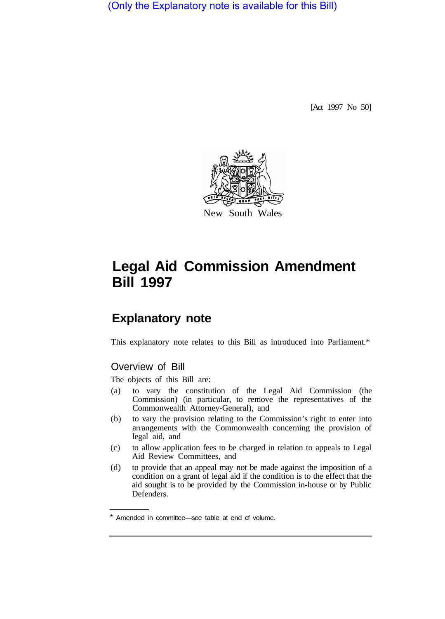(Only the Explanatory note is available for this Bill)

[Act 1997 No 50]



# **Legal Aid Commission Amendment Bill 1997**

# **Explanatory note**

This explanatory note relates to this Bill as introduced into Parliament.\*

## Overview of Bill

The objects of this Bill are:

- (a) to vary the constitution of the Legal Aid Commission (the Commission) (in particular, to remove the representatives of the Commonwealth Attorney-General), and
- (b) to vary the provision relating to the Commission's right to enter into arrangements with the Commonwealth concerning the provision of legal aid, and
- (c) to allow application fees to be charged in relation to appeals to Legal Aid Review Committees, and
- (d) to provide that an appeal may not be made against the imposition of a condition on a grant of legal aid if the condition is to the effect that the aid sought is to be provided by the Commission in-house or by Public Defenders.

Amended in committee—see table at end of volume.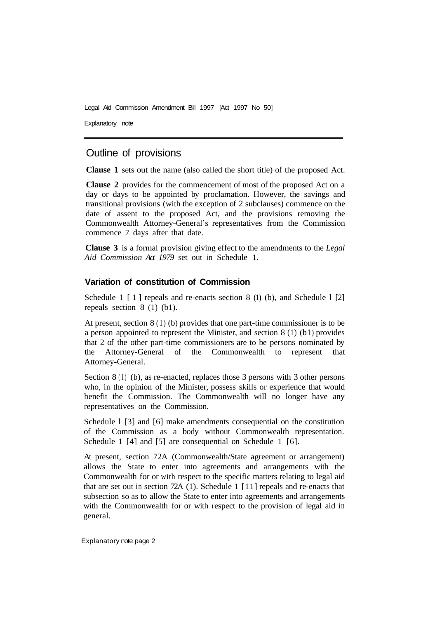Legal Aid Commission Amendment Bill 1997 [Act 1997 No 50]

Explanatory note

### Outline of provisions

**Clause 1** sets out the name (also called the short title) of the proposed Act.

**Clause 2** provides for the commencement of most of the proposed Act on a day or days to be appointed by proclamation. However, the savings and transitional provisions (with the exception of 2 subclauses) commence on the date of assent to the proposed Act, and the provisions removing the Commonwealth Attorney-General's representatives from the Commission commence 7 days after that date.

**Clause 3** is a formal provision giving effect to the amendments to the *Legal Aid Commission Act 1979* set out in Schedule 1.

#### **Variation of constitution of Commission**

Schedule 1 [1] repeals and re-enacts section 8 (1) (b), and Schedule 1 [2] repeals section 8 (1) (b1).

At present, section 8 (1) (b) provides that one part-time commissioner is to be a person appointed to represent the Minister, and section  $8(1)(b1)$  provides that 2 of the other part-time commissioners are to be persons nominated by the Attorney-General of the Commonwealth to represent that Attorney-General.

Section 8 (1) (b), as re-enacted, replaces those 3 persons with 3 other persons who, in the opinion of the Minister, possess skills or experience that would benefit the Commission. The Commonwealth will no longer have any representatives on the Commission.

Schedule 1 [3] and [6] make amendments consequential on the constitution of the Commission as a body without Commonwealth representation. Schedule 1 [4] and [5] are consequential on Schedule 1 [6].

At present, section 72A (Commonwealth/State agreement or arrangement) allows the State to enter into agreements and arrangements with the Commonwealth for or with respect to the specific matters relating to legal aid that are set out in section 72A (1). Schedule 1 [11] repeals and re-enacts that subsection so as to allow the State to enter into agreements and arrangements with the Commonwealth for or with respect to the provision of legal aid in general.